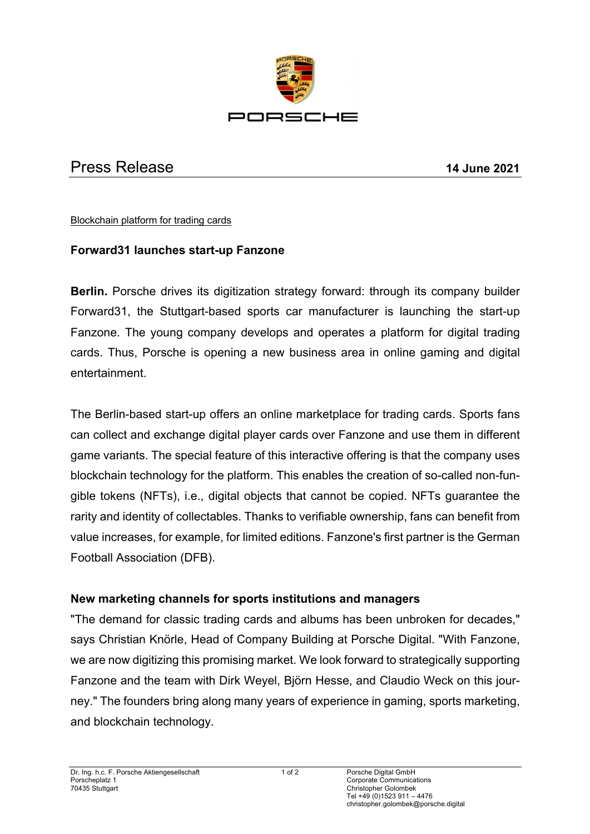

# Press Release **14 June 2021**

Blockchain platform for trading cards

### **Forward31 launches start-up Fanzone**

**Berlin.** Porsche drives its digitization strategy forward: through its company builder Forward31, the Stuttgart-based sports car manufacturer is launching the start-up Fanzone. The young company develops and operates a platform for digital trading cards. Thus, Porsche is opening a new business area in online gaming and digital entertainment.

The Berlin-based start-up offers an online marketplace for trading cards. Sports fans can collect and exchange digital player cards over Fanzone and use them in different game variants. The special feature of this interactive offering is that the company uses blockchain technology for the platform. This enables the creation of so-called non-fungible tokens (NFTs), i.e., digital objects that cannot be copied. NFTs guarantee the rarity and identity of collectables. Thanks to verifiable ownership, fans can benefit from value increases, for example, for limited editions. Fanzone's first partner is the German Football Association (DFB).

### **New marketing channels for sports institutions and managers**

"The demand for classic trading cards and albums has been unbroken for decades," says Christian Knörle, Head of Company Building at Porsche Digital. "With Fanzone, we are now digitizing this promising market. We look forward to strategically supporting Fanzone and the team with Dirk Weyel, Björn Hesse, and Claudio Weck on this journey." The founders bring along many years of experience in gaming, sports marketing, and blockchain technology.